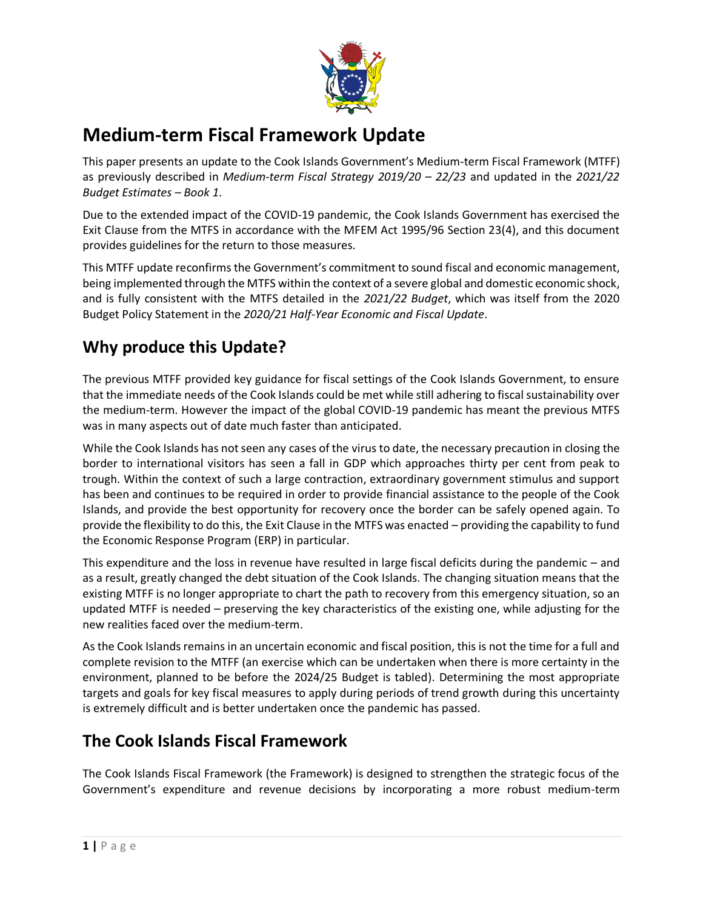

# **Medium-term Fiscal Framework Update**

This paper presents an update to the Cook Islands Government's Medium-term Fiscal Framework (MTFF) as previously described in *Medium-term Fiscal Strategy 2019/20 – 22/23* and updated in the *2021/22 Budget Estimates – Book 1*.

Due to the extended impact of the COVID-19 pandemic, the Cook Islands Government has exercised the Exit Clause from the MTFS in accordance with the MFEM Act 1995/96 Section 23(4), and this document provides guidelines for the return to those measures.

This MTFF update reconfirms the Government's commitment to sound fiscal and economic management, being implemented through the MTFS within the context of a severe global and domestic economic shock, and is fully consistent with the MTFS detailed in the *2021/22 Budget*, which was itself from the 2020 Budget Policy Statement in the *2020/21 Half-Year Economic and Fiscal Update*.

# **Why produce this Update?**

The previous MTFF provided key guidance for fiscal settings of the Cook Islands Government, to ensure that the immediate needs of the Cook Islands could be met while still adhering to fiscal sustainability over the medium-term. However the impact of the global COVID-19 pandemic has meant the previous MTFS was in many aspects out of date much faster than anticipated.

While the Cook Islands has not seen any cases of the virus to date, the necessary precaution in closing the border to international visitors has seen a fall in GDP which approaches thirty per cent from peak to trough. Within the context of such a large contraction, extraordinary government stimulus and support has been and continues to be required in order to provide financial assistance to the people of the Cook Islands, and provide the best opportunity for recovery once the border can be safely opened again. To provide the flexibility to do this, the Exit Clause in the MTFS was enacted – providing the capability to fund the Economic Response Program (ERP) in particular.

This expenditure and the loss in revenue have resulted in large fiscal deficits during the pandemic – and as a result, greatly changed the debt situation of the Cook Islands. The changing situation means that the existing MTFF is no longer appropriate to chart the path to recovery from this emergency situation, so an updated MTFF is needed – preserving the key characteristics of the existing one, while adjusting for the new realities faced over the medium-term.

As the Cook Islands remains in an uncertain economic and fiscal position, this is not the time for a full and complete revision to the MTFF (an exercise which can be undertaken when there is more certainty in the environment, planned to be before the 2024/25 Budget is tabled). Determining the most appropriate targets and goals for key fiscal measures to apply during periods of trend growth during this uncertainty is extremely difficult and is better undertaken once the pandemic has passed.

# **The Cook Islands Fiscal Framework**

The Cook Islands Fiscal Framework (the Framework) is designed to strengthen the strategic focus of the Government's expenditure and revenue decisions by incorporating a more robust medium-term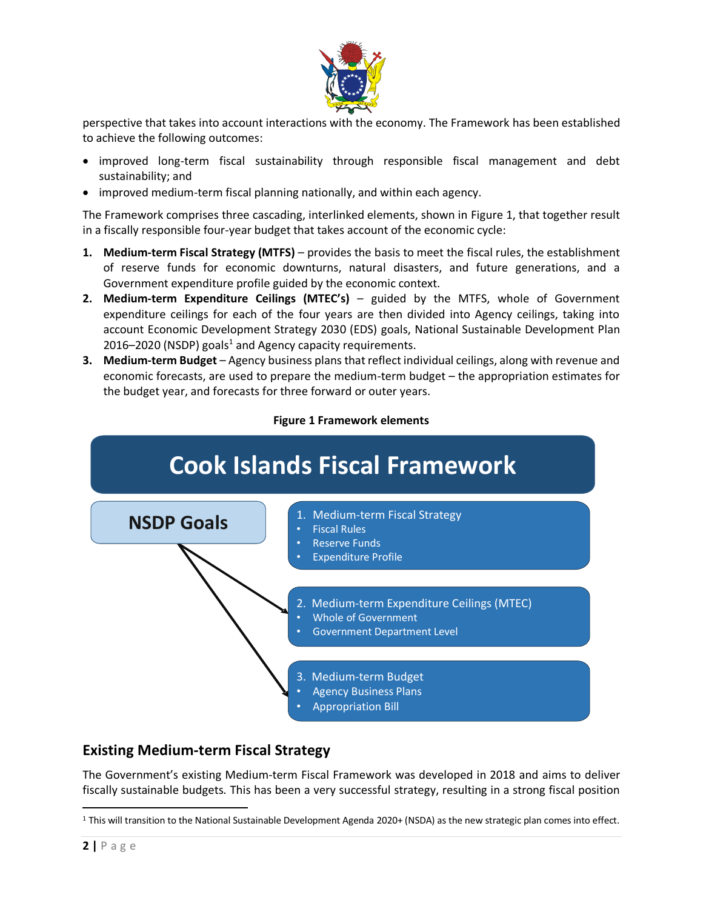

perspective that takes into account interactions with the economy. The Framework has been established to achieve the following outcomes:

- improved long-term fiscal sustainability through responsible fiscal management and debt sustainability; and
- improved medium-term fiscal planning nationally, and within each agency.

The Framework comprises three cascading, interlinked elements, shown in [Figure 1,](#page-1-0) that together result in a fiscally responsible four-year budget that takes account of the economic cycle:

- **1. Medium-term Fiscal Strategy (MTFS)** provides the basis to meet the fiscal rules, the establishment of reserve funds for economic downturns, natural disasters, and future generations, and a Government expenditure profile guided by the economic context.
- **2. Medium-term Expenditure Ceilings (MTEC's)**  guided by the MTFS, whole of Government expenditure ceilings for each of the four years are then divided into Agency ceilings, taking into account Economic Development Strategy 2030 (EDS) goals, National Sustainable Development Plan 2016–2020 (NSDP) goals<sup>1</sup> and Agency capacity requirements.
- **3. Medium-term Budget** Agency business plans that reflect individual ceilings, along with revenue and economic forecasts, are used to prepare the medium-term budget – the appropriation estimates for the budget year, and forecasts for three forward or outer years.



<span id="page-1-0"></span>

## **Existing Medium-term Fiscal Strategy**

The Government's existing Medium-term Fiscal Framework was developed in 2018 and aims to deliver fiscally sustainable budgets. This has been a very successful strategy, resulting in a strong fiscal position

 $\overline{\phantom{a}}$ 

<sup>1</sup> This will transition to the National Sustainable Development Agenda 2020+ (NSDA) as the new strategic plan comes into effect.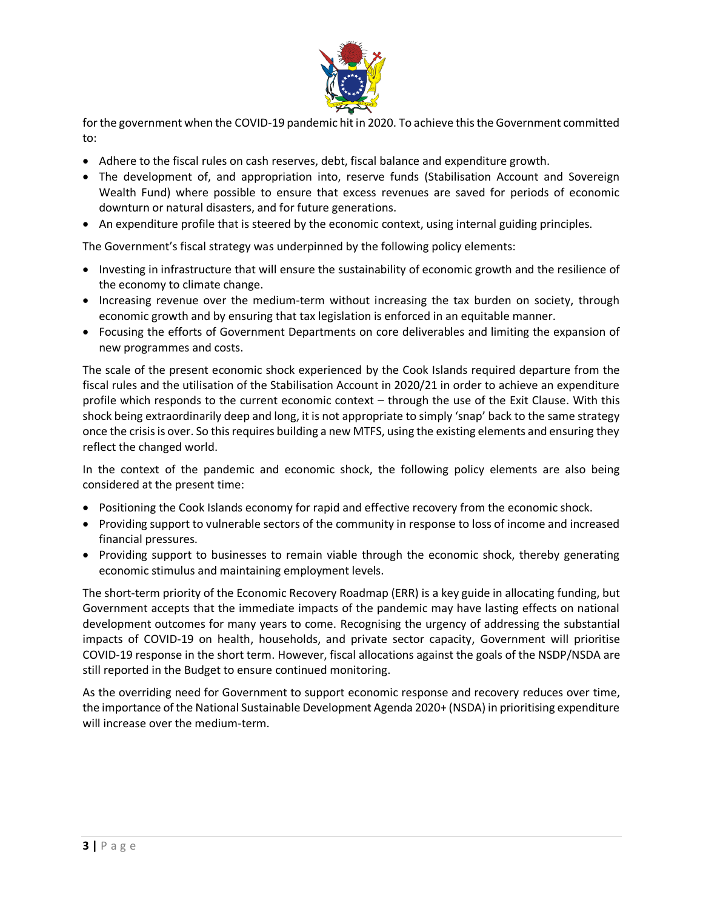

for the government when the COVID-19 pandemic hit in 2020. To achieve this the Government committed to:

- Adhere to the fiscal rules on cash reserves, debt, fiscal balance and expenditure growth.
- The development of, and appropriation into, reserve funds (Stabilisation Account and Sovereign Wealth Fund) where possible to ensure that excess revenues are saved for periods of economic downturn or natural disasters, and for future generations.
- An expenditure profile that is steered by the economic context, using internal guiding principles.

The Government's fiscal strategy was underpinned by the following policy elements:

- Investing in infrastructure that will ensure the sustainability of economic growth and the resilience of the economy to climate change.
- Increasing revenue over the medium-term without increasing the tax burden on society, through economic growth and by ensuring that tax legislation is enforced in an equitable manner.
- Focusing the efforts of Government Departments on core deliverables and limiting the expansion of new programmes and costs.

The scale of the present economic shock experienced by the Cook Islands required departure from the fiscal rules and the utilisation of the Stabilisation Account in 2020/21 in order to achieve an expenditure profile which responds to the current economic context – through the use of the Exit Clause. With this shock being extraordinarily deep and long, it is not appropriate to simply 'snap' back to the same strategy once the crisis is over. So this requires building a new MTFS, using the existing elements and ensuring they reflect the changed world.

In the context of the pandemic and economic shock, the following policy elements are also being considered at the present time:

- Positioning the Cook Islands economy for rapid and effective recovery from the economic shock.
- Providing support to vulnerable sectors of the community in response to loss of income and increased financial pressures.
- Providing support to businesses to remain viable through the economic shock, thereby generating economic stimulus and maintaining employment levels.

The short-term priority of the Economic Recovery Roadmap (ERR) is a key guide in allocating funding, but Government accepts that the immediate impacts of the pandemic may have lasting effects on national development outcomes for many years to come. Recognising the urgency of addressing the substantial impacts of COVID-19 on health, households, and private sector capacity, Government will prioritise COVID-19 response in the short term. However, fiscal allocations against the goals of the NSDP/NSDA are still reported in the Budget to ensure continued monitoring.

As the overriding need for Government to support economic response and recovery reduces over time, the importance of the National Sustainable Development Agenda 2020+ (NSDA) in prioritising expenditure will increase over the medium-term.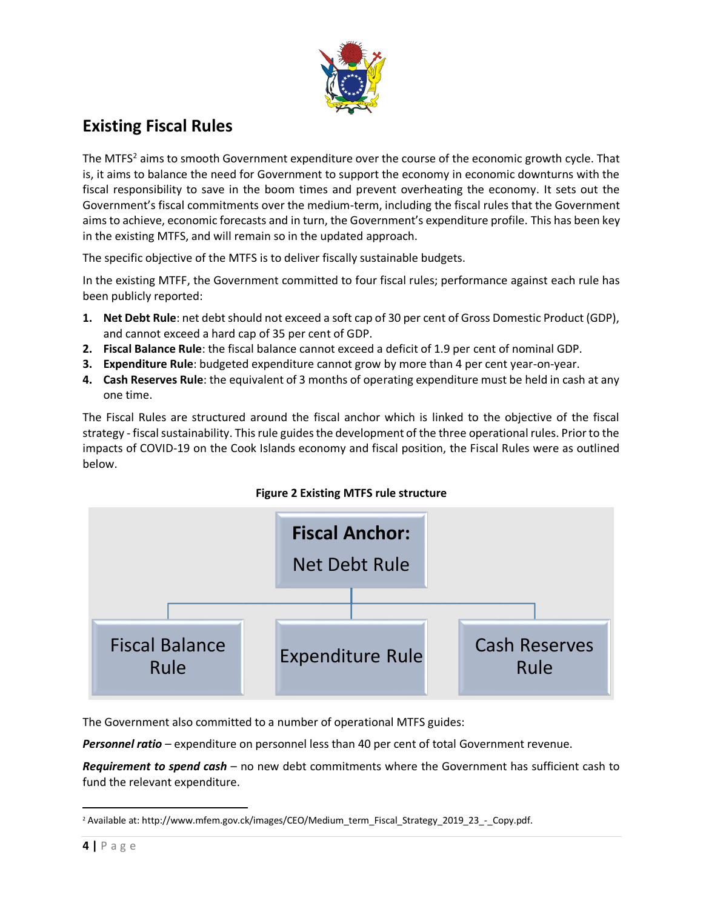

# **Existing Fiscal Rules**

The MTFS<sup>2</sup> aims to smooth Government expenditure over the course of the economic growth cycle. That is, it aims to balance the need for Government to support the economy in economic downturns with the fiscal responsibility to save in the boom times and prevent overheating the economy. It sets out the Government's fiscal commitments over the medium-term, including the fiscal rules that the Government aims to achieve, economic forecasts and in turn, the Government's expenditure profile. This has been key in the existing MTFS, and will remain so in the updated approach.

The specific objective of the MTFS is to deliver fiscally sustainable budgets.

In the existing MTFF, the Government committed to four fiscal rules; performance against each rule has been publicly reported:

- **1. Net Debt Rule**: net debt should not exceed a soft cap of 30 per cent of Gross Domestic Product (GDP), and cannot exceed a hard cap of 35 per cent of GDP.
- **2. Fiscal Balance Rule**: the fiscal balance cannot exceed a deficit of 1.9 per cent of nominal GDP.
- **3. Expenditure Rule**: budgeted expenditure cannot grow by more than 4 per cent year-on-year.
- **4. Cash Reserves Rule**: the equivalent of 3 months of operating expenditure must be held in cash at any one time.

The Fiscal Rules are structured around the fiscal anchor which is linked to the objective of the fiscal strategy - fiscal sustainability. This rule guides the development of the three operational rules. Prior to the impacts of COVID-19 on the Cook Islands economy and fiscal position, the Fiscal Rules were as outlined below.





The Government also committed to a number of operational MTFS guides:

*Personnel ratio* – expenditure on personnel less than 40 per cent of total Government revenue.

*Requirement to spend cash* – no new debt commitments where the Government has sufficient cash to fund the relevant expenditure.

 $\overline{\phantom{a}}$ <sup>2</sup> Available at[: http://www.mfem.gov.ck/images/CEO/Medium\\_term\\_Fiscal\\_Strategy\\_2019\\_23\\_-\\_Copy.pdf.](http://www.mfem.gov.ck/images/CEO/Medium_term_Fiscal_Strategy_2019_23_-_Copy.pdf)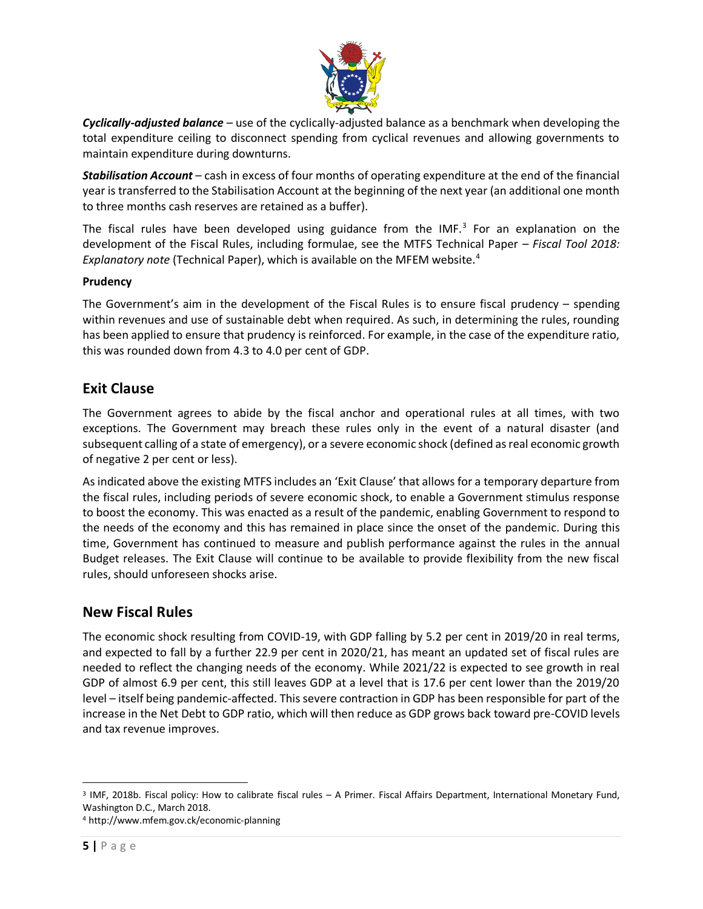

*Cyclically-adjusted balance* – use of the cyclically-adjusted balance as a benchmark when developing the total expenditure ceiling to disconnect spending from cyclical revenues and allowing governments to maintain expenditure during downturns.

*Stabilisation Account* – cash in excess of four months of operating expenditure at the end of the financial year is transferred to the Stabilisation Account at the beginning of the next year (an additional one month to three months cash reserves are retained as a buffer).

The fiscal rules have been developed using guidance from the IMF. $<sup>3</sup>$  For an explanation on the</sup> development of the Fiscal Rules, including formulae, see the MTFS Technical Paper – *Fiscal Tool 2018: Explanatory note* (Technical Paper), which is available on the MFEM website.<sup>4</sup>

### **Prudency**

The Government's aim in the development of the Fiscal Rules is to ensure fiscal prudency – spending within revenues and use of sustainable debt when required. As such, in determining the rules, rounding has been applied to ensure that prudency is reinforced. For example, in the case of the expenditure ratio, this was rounded down from 4.3 to 4.0 per cent of GDP.

## **Exit Clause**

The Government agrees to abide by the fiscal anchor and operational rules at all times, with two exceptions. The Government may breach these rules only in the event of a natural disaster (and subsequent calling of a state of emergency), or a severe economic shock (defined as real economic growth of negative 2 per cent or less).

As indicated above the existing MTFS includes an 'Exit Clause' that allows for a temporary departure from the fiscal rules, including periods of severe economic shock, to enable a Government stimulus response to boost the economy. This was enacted as a result of the pandemic, enabling Government to respond to the needs of the economy and this has remained in place since the onset of the pandemic. During this time, Government has continued to measure and publish performance against the rules in the annual Budget releases. The Exit Clause will continue to be available to provide flexibility from the new fiscal rules, should unforeseen shocks arise.

## **New Fiscal Rules**

The economic shock resulting from COVID-19, with GDP falling by 5.2 per cent in 2019/20 in real terms, and expected to fall by a further 22.9 per cent in 2020/21, has meant an updated set of fiscal rules are needed to reflect the changing needs of the economy. While 2021/22 is expected to see growth in real GDP of almost 6.9 per cent, this still leaves GDP at a level that is 17.6 per cent lower than the 2019/20 level – itself being pandemic-affected. This severe contraction in GDP has been responsible for part of the increase in the Net Debt to GDP ratio, which will then reduce as GDP grows back toward pre-COVID levels and tax revenue improves.

 $\overline{\phantom{a}}$ 3 IMF, 2018b. Fiscal policy: How to calibrate fiscal rules – A Primer. Fiscal Affairs Department, International Monetary Fund, Washington D.C., March 2018.

<sup>4</sup> <http://www.mfem.gov.ck/economic-planning>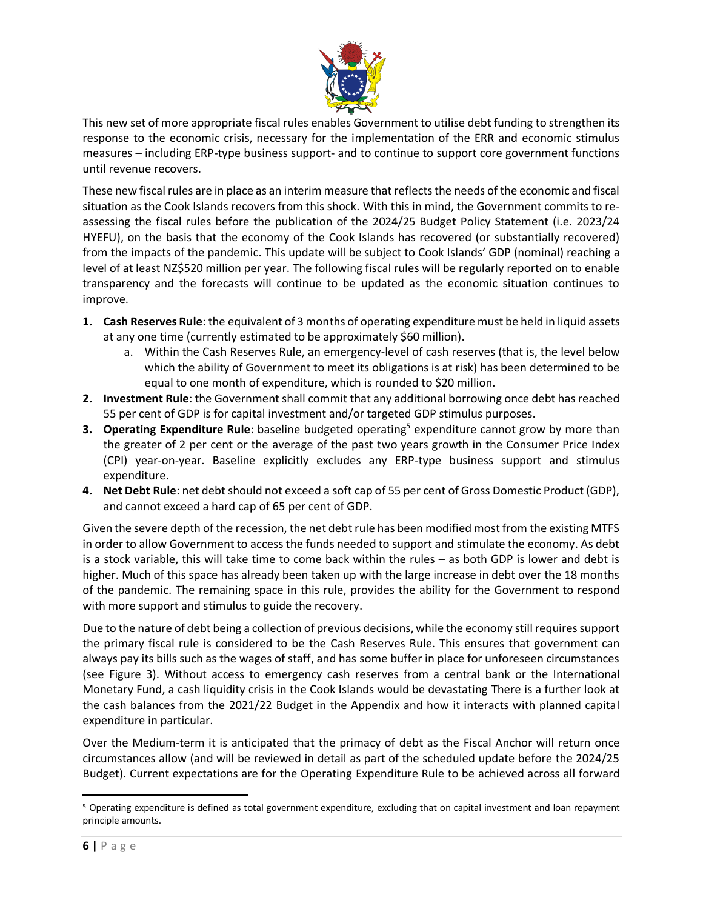

This new set of more appropriate fiscal rules enables Government to utilise debt funding to strengthen its response to the economic crisis, necessary for the implementation of the ERR and economic stimulus measures – including ERP-type business support- and to continue to support core government functions until revenue recovers.

These new fiscal rules are in place as an interim measure that reflects the needs of the economic and fiscal situation as the Cook Islands recovers from this shock. With this in mind, the Government commits to reassessing the fiscal rules before the publication of the 2024/25 Budget Policy Statement (i.e. 2023/24 HYEFU), on the basis that the economy of the Cook Islands has recovered (or substantially recovered) from the impacts of the pandemic. This update will be subject to Cook Islands' GDP (nominal) reaching a level of at least NZ\$520 million per year. The following fiscal rules will be regularly reported on to enable transparency and the forecasts will continue to be updated as the economic situation continues to improve.

- **1. Cash Reserves Rule**: the equivalent of 3 months of operating expenditure must be held in liquid assets at any one time (currently estimated to be approximately \$60 million).
	- a. Within the Cash Reserves Rule, an emergency-level of cash reserves (that is, the level below which the ability of Government to meet its obligations is at risk) has been determined to be equal to one month of expenditure, which is rounded to \$20 million.
- **2. Investment Rule**: the Government shall commit that any additional borrowing once debt has reached 55 per cent of GDP is for capital investment and/or targeted GDP stimulus purposes.
- **3. Operating Expenditure Rule**: baseline budgeted operating<sup>5</sup> expenditure cannot grow by more than the greater of 2 per cent or the average of the past two years growth in the Consumer Price Index (CPI) year-on-year. Baseline explicitly excludes any ERP-type business support and stimulus expenditure.
- **4. Net Debt Rule**: net debt should not exceed a soft cap of 55 per cent of Gross Domestic Product (GDP), and cannot exceed a hard cap of 65 per cent of GDP.

Given the severe depth of the recession, the net debt rule has been modified most from the existing MTFS in order to allow Government to access the funds needed to support and stimulate the economy. As debt is a stock variable, this will take time to come back within the rules – as both GDP is lower and debt is higher. Much of this space has already been taken up with the large increase in debt over the 18 months of the pandemic. The remaining space in this rule, provides the ability for the Government to respond with more support and stimulus to guide the recovery.

Due to the nature of debt being a collection of previous decisions, while the economy still requires support the primary fiscal rule is considered to be the Cash Reserves Rule. This ensures that government can always pay its bills such as the wages of staff, and has some buffer in place for unforeseen circumstances (see [Figure 3\)](#page-6-0). Without access to emergency cash reserves from a central bank or the International Monetary Fund, a cash liquidity crisis in the Cook Islands would be devastating There is a further look at the cash balances from the 2021/22 Budget in the Appendix and how it interacts with planned capital expenditure in particular.

Over the Medium-term it is anticipated that the primacy of debt as the Fiscal Anchor will return once circumstances allow (and will be reviewed in detail as part of the scheduled update before the 2024/25 Budget). Current expectations are for the Operating Expenditure Rule to be achieved across all forward

 $\overline{a}$ 

<sup>5</sup> Operating expenditure is defined as total government expenditure, excluding that on capital investment and loan repayment principle amounts.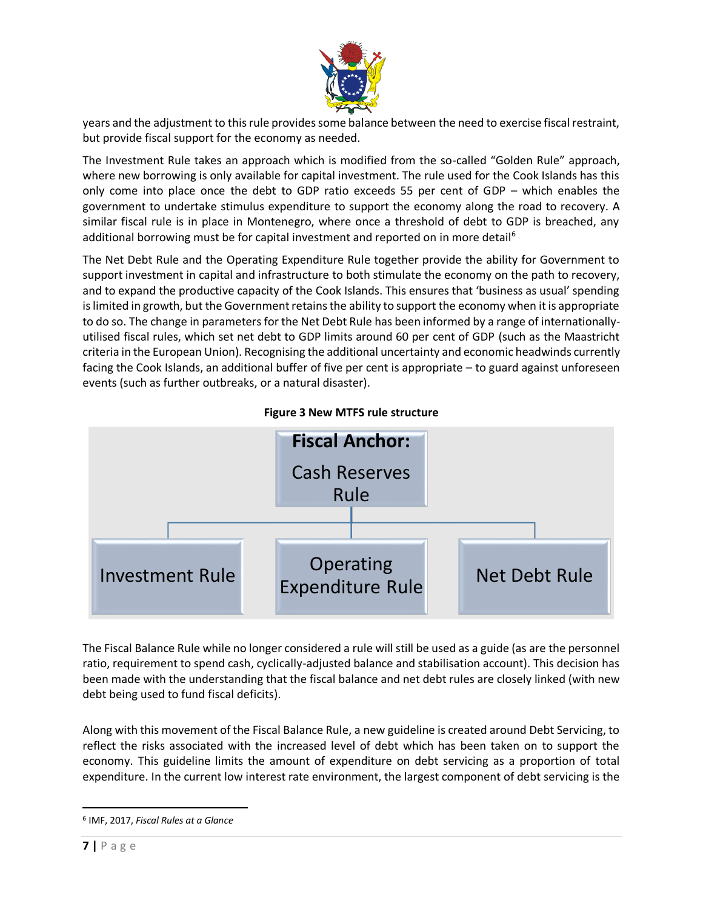

years and the adjustment to this rule provides some balance between the need to exercise fiscal restraint, but provide fiscal support for the economy as needed.

The Investment Rule takes an approach which is modified from the so-called "Golden Rule" approach, where new borrowing is only available for capital investment. The rule used for the Cook Islands has this only come into place once the debt to GDP ratio exceeds 55 per cent of GDP – which enables the government to undertake stimulus expenditure to support the economy along the road to recovery. A similar fiscal rule is in place in Montenegro, where once a threshold of debt to GDP is breached, any additional borrowing must be for capital investment and reported on in more detail<sup>6</sup>

The Net Debt Rule and the Operating Expenditure Rule together provide the ability for Government to support investment in capital and infrastructure to both stimulate the economy on the path to recovery, and to expand the productive capacity of the Cook Islands. This ensures that 'business as usual' spending is limited in growth, but the Government retains the ability to support the economy when it is appropriate to do so. The change in parameters for the Net Debt Rule has been informed by a range of internationallyutilised fiscal rules, which set net debt to GDP limits around 60 per cent of GDP (such as the Maastricht criteria in the European Union). Recognising the additional uncertainty and economic headwinds currently facing the Cook Islands, an additional buffer of five per cent is appropriate – to guard against unforeseen events (such as further outbreaks, or a natural disaster).

<span id="page-6-0"></span>

**Figure 3 New MTFS rule structure**

The Fiscal Balance Rule while no longer considered a rule will still be used as a guide (as are the personnel ratio, requirement to spend cash, cyclically-adjusted balance and stabilisation account). This decision has been made with the understanding that the fiscal balance and net debt rules are closely linked (with new debt being used to fund fiscal deficits).

Along with this movement of the Fiscal Balance Rule, a new guideline is created around Debt Servicing, to reflect the risks associated with the increased level of debt which has been taken on to support the economy. This guideline limits the amount of expenditure on debt servicing as a proportion of total expenditure. In the current low interest rate environment, the largest component of debt servicing is the

 $\overline{\phantom{a}}$ 

<sup>6</sup> IMF, 2017, *Fiscal Rules at a Glance*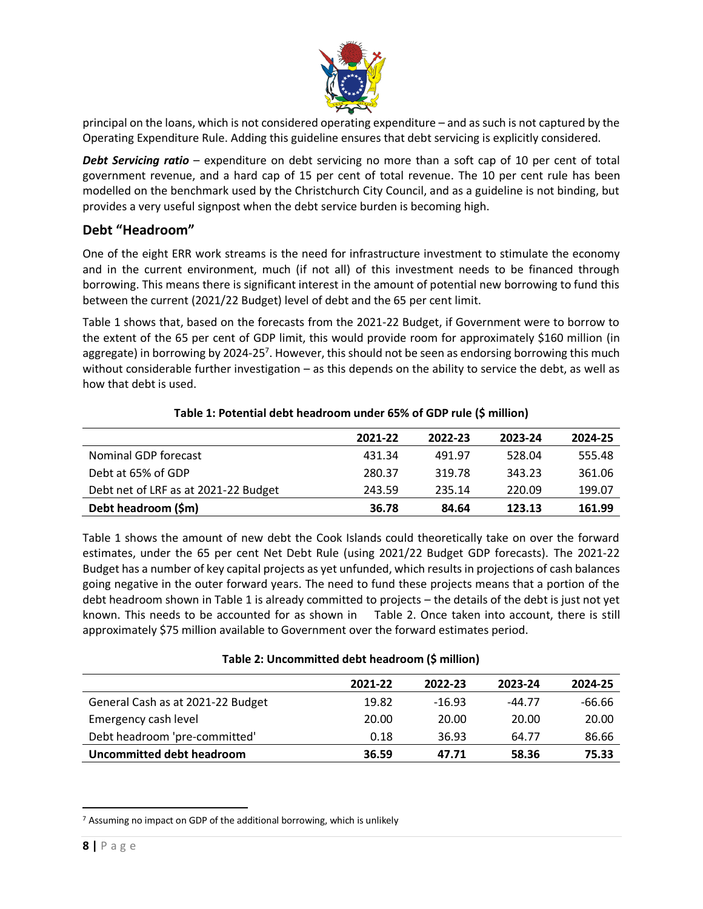

principal on the loans, which is not considered operating expenditure – and as such is not captured by the Operating Expenditure Rule. Adding this guideline ensures that debt servicing is explicitly considered.

*Debt Servicing ratio* – expenditure on debt servicing no more than a soft cap of 10 per cent of total government revenue, and a hard cap of 15 per cent of total revenue. The 10 per cent rule has been modelled on the benchmark used by the Christchurch City Council, and as a guideline is not binding, but provides a very useful signpost when the debt service burden is becoming high.

### **Debt "Headroom"**

One of the eight ERR work streams is the need for infrastructure investment to stimulate the economy and in the current environment, much (if not all) of this investment needs to be financed through borrowing. This means there is significant interest in the amount of potential new borrowing to fund this between the current (2021/22 Budget) level of debt and the 65 per cent limit.

[Table 1](#page-7-0) shows that, based on the forecasts from the 2021-22 Budget, if Government were to borrow to the extent of the 65 per cent of GDP limit, this would provide room for approximately \$160 million (in aggregate) in borrowing by 2024-25<sup>7</sup>. However, this should not be seen as endorsing borrowing this much without considerable further investigation – as this depends on the ability to service the debt, as well as how that debt is used.

<span id="page-7-0"></span>

|                                      | 2021-22 | 2022-23 | 2023-24 | 2024-25 |
|--------------------------------------|---------|---------|---------|---------|
| Nominal GDP forecast                 | 431.34  | 491.97  | 528.04  | 555.48  |
| Debt at 65% of GDP                   | 280.37  | 319.78  | 343.23  | 361.06  |
| Debt net of LRF as at 2021-22 Budget | 243.59  | 235.14  | 220.09  | 199.07  |
| Debt headroom (\$m)                  | 36.78   | 84.64   | 123.13  | 161.99  |

### **Table 1: Potential debt headroom under 65% of GDP rule (\$ million)**

[Table 1](#page-7-0) shows the amount of new debt the Cook Islands could theoretically take on over the forward estimates, under the 65 per cent Net Debt Rule (using 2021/22 Budget GDP forecasts). The 2021-22 Budget has a number of key capital projects as yet unfunded, which results in projections of cash balances going negative in the outer forward years. The need to fund these projects means that a portion of the debt headroom shown in [Table 1](#page-7-0) is already committed to projects – the details of the debt is just not yet known. This needs to be accounted for as shown in [Table 2.](#page-7-1) Once taken into account, there is still approximately \$75 million available to Government over the forward estimates period.

<span id="page-7-1"></span>

|                                   | 2021-22 | 2022-23  | 2023-24  | 2024-25  |  |
|-----------------------------------|---------|----------|----------|----------|--|
| General Cash as at 2021-22 Budget | 19.82   | $-16.93$ | $-44.77$ | $-66.66$ |  |
| Emergency cash level              | 20.00   | 20.00    | 20.00    | 20.00    |  |
| Debt headroom 'pre-committed'     | 0.18    | 36.93    | 64.77    | 86.66    |  |
| <b>Uncommitted debt headroom</b>  | 36.59   | 47.71    | 58.36    | 75.33    |  |

### **Table 2: Uncommitted debt headroom (\$ million)**

 $\overline{\phantom{a}}$ <sup>7</sup> Assuming no impact on GDP of the additional borrowing, which is unlikely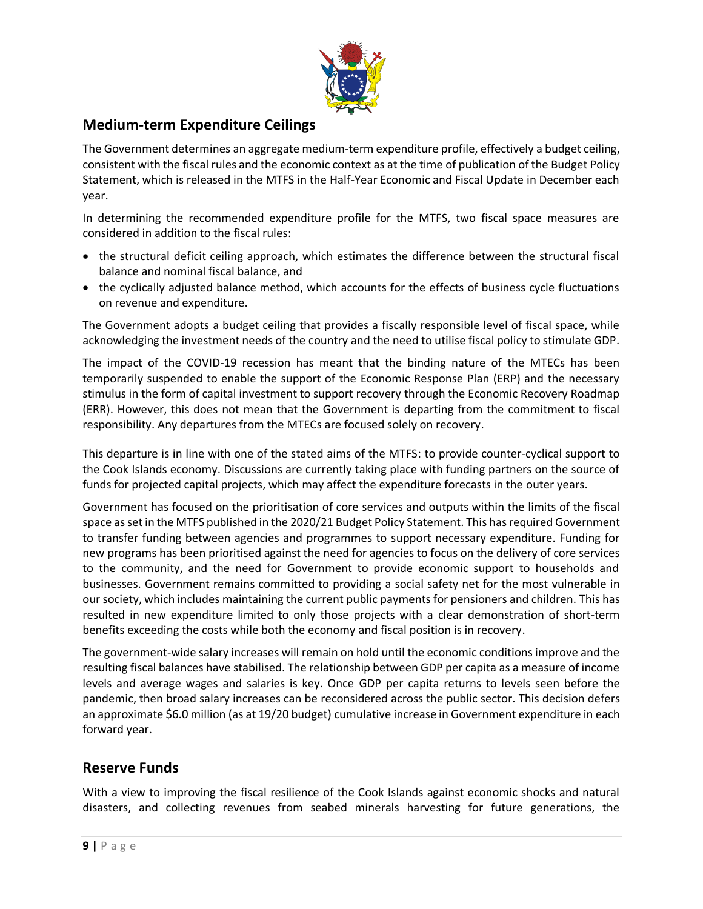

## **Medium-term Expenditure Ceilings**

The Government determines an aggregate medium-term expenditure profile, effectively a budget ceiling, consistent with the fiscal rules and the economic context as at the time of publication of the Budget Policy Statement, which is released in the MTFS in the Half-Year Economic and Fiscal Update in December each year.

In determining the recommended expenditure profile for the MTFS, two fiscal space measures are considered in addition to the fiscal rules:

- the structural deficit ceiling approach, which estimates the difference between the structural fiscal balance and nominal fiscal balance, and
- the cyclically adjusted balance method, which accounts for the effects of business cycle fluctuations on revenue and expenditure.

The Government adopts a budget ceiling that provides a fiscally responsible level of fiscal space, while acknowledging the investment needs of the country and the need to utilise fiscal policy to stimulate GDP.

The impact of the COVID-19 recession has meant that the binding nature of the MTECs has been temporarily suspended to enable the support of the Economic Response Plan (ERP) and the necessary stimulus in the form of capital investment to support recovery through the Economic Recovery Roadmap (ERR). However, this does not mean that the Government is departing from the commitment to fiscal responsibility. Any departures from the MTECs are focused solely on recovery.

This departure is in line with one of the stated aims of the MTFS: to provide counter-cyclical support to the Cook Islands economy. Discussions are currently taking place with funding partners on the source of funds for projected capital projects, which may affect the expenditure forecasts in the outer years.

Government has focused on the prioritisation of core services and outputs within the limits of the fiscal space as set in the MTFS published in the 2020/21 Budget Policy Statement. This has required Government to transfer funding between agencies and programmes to support necessary expenditure. Funding for new programs has been prioritised against the need for agencies to focus on the delivery of core services to the community, and the need for Government to provide economic support to households and businesses. Government remains committed to providing a social safety net for the most vulnerable in our society, which includes maintaining the current public payments for pensioners and children. This has resulted in new expenditure limited to only those projects with a clear demonstration of short-term benefits exceeding the costs while both the economy and fiscal position is in recovery.

The government-wide salary increases will remain on hold until the economic conditions improve and the resulting fiscal balances have stabilised. The relationship between GDP per capita as a measure of income levels and average wages and salaries is key. Once GDP per capita returns to levels seen before the pandemic, then broad salary increases can be reconsidered across the public sector. This decision defers an approximate \$6.0 million (as at 19/20 budget) cumulative increase in Government expenditure in each forward year.

## **Reserve Funds**

With a view to improving the fiscal resilience of the Cook Islands against economic shocks and natural disasters, and collecting revenues from seabed minerals harvesting for future generations, the